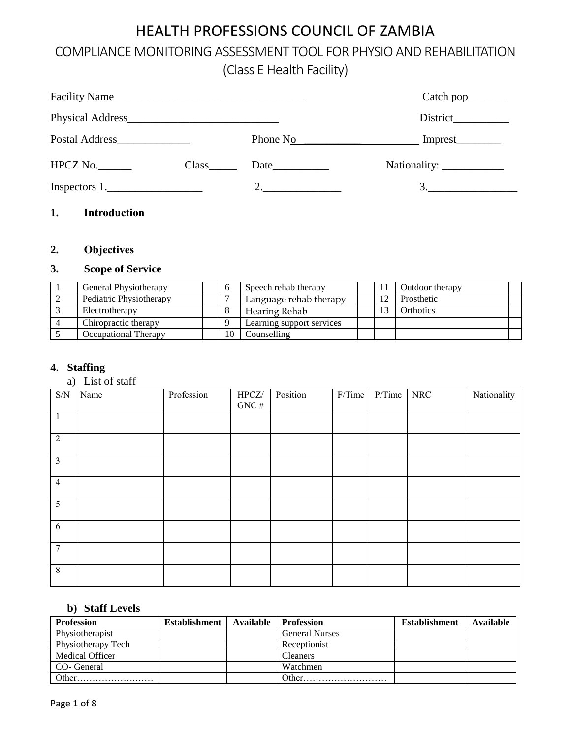# HEALTH PROFESSIONS COUNCIL OF ZAMBIA

# COMPLIANCE MONITORING ASSESSMENT TOOL FOR PHYSIO AND REHABILITATION (Class E Health Facility)

|               |                          | Phone $N_0$ |    |
|---------------|--------------------------|-------------|----|
| HPCZ No.      | $Class$ <sub>_____</sub> | Date        |    |
| Inspectors 1. |                          | 2.          | 3. |
|               |                          |             |    |

## **1. Introduction**

## **2. Objectives**

## **3. Scope of Service**

| General Physiotherapy   |   | Speech rehab therapy      |  | Outdoor therapy |  |
|-------------------------|---|---------------------------|--|-----------------|--|
| Pediatric Physiotherapy |   | Language rehab therapy    |  | Prosthetic      |  |
| Electrotherapy          |   | Hearing Rehab             |  | Orthotics       |  |
| Chiropractic therapy    | Q | Learning support services |  |                 |  |
| Occupational Therapy    |   | Counselling               |  |                 |  |

### **4. Staffing**

#### a) List of staff

| $\ensuremath{\mathrm{S/N}}$ | Name | Profession | HPCZ/<br>GNC $\#$ | Position | $F/T$ ime | $P/T$ ime | <b>NRC</b> | Nationality |
|-----------------------------|------|------------|-------------------|----------|-----------|-----------|------------|-------------|
| $\mathbf{1}$                |      |            |                   |          |           |           |            |             |
| $\overline{2}$              |      |            |                   |          |           |           |            |             |
| $\overline{3}$              |      |            |                   |          |           |           |            |             |
| $\overline{4}$              |      |            |                   |          |           |           |            |             |
| 5                           |      |            |                   |          |           |           |            |             |
| 6                           |      |            |                   |          |           |           |            |             |
| $\tau$                      |      |            |                   |          |           |           |            |             |
| $\,8\,$                     |      |            |                   |          |           |           |            |             |

### **b) Staff Levels**

| <b>Profession</b>      | Establishment | Available | <b>Profession</b>     | <b>Establishment</b> | Available |
|------------------------|---------------|-----------|-----------------------|----------------------|-----------|
| Physiotherapist        |               |           | <b>General Nurses</b> |                      |           |
| Physiotherapy Tech     |               |           | Receptionist          |                      |           |
| <b>Medical Officer</b> |               |           | Cleaners              |                      |           |
| CO- General            |               |           | Watchmen              |                      |           |
| Other                  |               |           | Other                 |                      |           |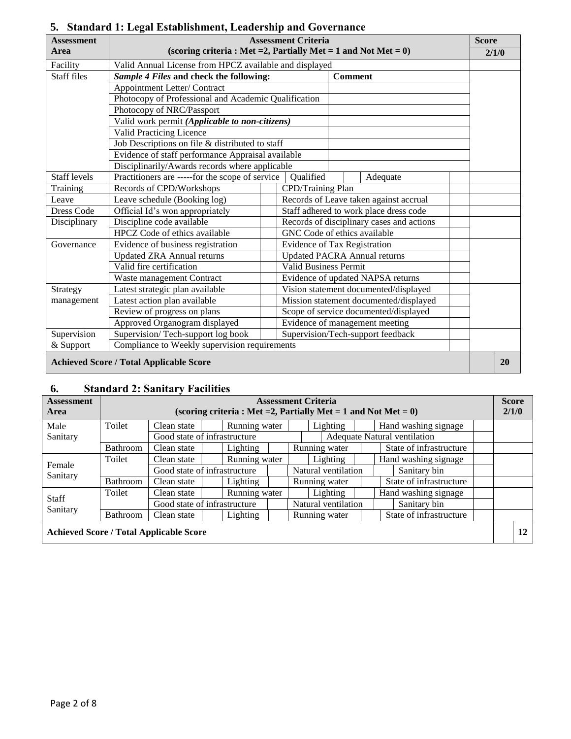| <b>Assessment</b>                              |                                                                    | <b>Assessment Criteria</b>                                               |                                                                         | <b>Score</b> |       |  |  |  |  |  |
|------------------------------------------------|--------------------------------------------------------------------|--------------------------------------------------------------------------|-------------------------------------------------------------------------|--------------|-------|--|--|--|--|--|
| Area                                           | (scoring criteria : Met = 2, Partially Met = 1 and Not Met = $0$ ) |                                                                          |                                                                         |              | 2/1/0 |  |  |  |  |  |
| Facility                                       | Valid Annual License from HPCZ available and displayed             |                                                                          |                                                                         |              |       |  |  |  |  |  |
| <b>Staff files</b>                             | Sample 4 Files and check the following:                            |                                                                          | <b>Comment</b>                                                          |              |       |  |  |  |  |  |
|                                                | Appointment Letter/ Contract                                       |                                                                          |                                                                         |              |       |  |  |  |  |  |
|                                                | Photocopy of Professional and Academic Qualification               |                                                                          |                                                                         |              |       |  |  |  |  |  |
|                                                | Photocopy of NRC/Passport                                          |                                                                          |                                                                         |              |       |  |  |  |  |  |
|                                                | Valid work permit (Applicable to non-citizens)                     |                                                                          |                                                                         |              |       |  |  |  |  |  |
|                                                | <b>Valid Practicing Licence</b>                                    |                                                                          |                                                                         |              |       |  |  |  |  |  |
|                                                | Job Descriptions on file & distributed to staff                    |                                                                          |                                                                         |              |       |  |  |  |  |  |
|                                                |                                                                    | Evidence of staff performance Appraisal available                        |                                                                         |              |       |  |  |  |  |  |
|                                                | Disciplinarily/Awards records where applicable                     |                                                                          |                                                                         |              |       |  |  |  |  |  |
| <b>Staff</b> levels                            |                                                                    | Practitioners are -----for the scope of service<br>Qualified<br>Adequate |                                                                         |              |       |  |  |  |  |  |
| Training                                       | Records of CPD/Workshops                                           | CPD/Training Plan                                                        |                                                                         |              |       |  |  |  |  |  |
| Leave                                          | Leave schedule (Booking log)                                       |                                                                          | Records of Leave taken against accrual                                  |              |       |  |  |  |  |  |
| Dress Code                                     | Official Id's won appropriately                                    |                                                                          | Staff adhered to work place dress code                                  |              |       |  |  |  |  |  |
| Disciplinary                                   | Discipline code available                                          |                                                                          | Records of disciplinary cases and actions                               |              |       |  |  |  |  |  |
|                                                | HPCZ Code of ethics available                                      |                                                                          | GNC Code of ethics available                                            |              |       |  |  |  |  |  |
| Governance                                     | Evidence of business registration                                  |                                                                          | Evidence of Tax Registration                                            |              |       |  |  |  |  |  |
|                                                | <b>Updated ZRA Annual returns</b>                                  |                                                                          | <b>Updated PACRA Annual returns</b>                                     |              |       |  |  |  |  |  |
|                                                | Valid fire certification                                           | <b>Valid Business Permit</b>                                             |                                                                         |              |       |  |  |  |  |  |
|                                                | Waste management Contract                                          |                                                                          | Evidence of updated NAPSA returns                                       |              |       |  |  |  |  |  |
| Strategy                                       | Latest strategic plan available                                    |                                                                          | Vision statement documented/displayed                                   |              |       |  |  |  |  |  |
| management                                     | Latest action plan available                                       |                                                                          | Mission statement documented/displayed                                  |              |       |  |  |  |  |  |
|                                                | Review of progress on plans                                        |                                                                          | Scope of service documented/displayed<br>Evidence of management meeting |              |       |  |  |  |  |  |
|                                                | Approved Organogram displayed                                      |                                                                          |                                                                         |              |       |  |  |  |  |  |
| Supervision                                    | Supervision/Tech-support log book                                  |                                                                          | Supervision/Tech-support feedback                                       |              |       |  |  |  |  |  |
| & Support                                      | Compliance to Weekly supervision requirements                      |                                                                          |                                                                         |              |       |  |  |  |  |  |
| <b>Achieved Score / Total Applicable Score</b> |                                                                    |                                                                          |                                                                         |              |       |  |  |  |  |  |

## **5. Standard 1: Legal Establishment, Leadership and Governance**

### **6. Standard 2: Sanitary Facilities**

| w.                 |                 | $\beta$ tanuai u 2. Sanitai y Facintics        |                                                                    |  |                              |                            |  |                         |                         |  |              |
|--------------------|-----------------|------------------------------------------------|--------------------------------------------------------------------|--|------------------------------|----------------------------|--|-------------------------|-------------------------|--|--------------|
| <b>Assessment</b>  |                 |                                                |                                                                    |  |                              | <b>Assessment Criteria</b> |  |                         |                         |  | <b>Score</b> |
| Area               |                 |                                                | (scoring criteria : Met = 2, Partially Met = 1 and Not Met = $0$ ) |  |                              |                            |  |                         |                         |  | 2/1/0        |
| Male               | Toilet          | Clean state                                    | Lighting<br>Hand washing signage<br>Running water                  |  |                              |                            |  |                         |                         |  |              |
| Sanitary           |                 |                                                | Good state of infrastructure                                       |  | Adequate Natural ventilation |                            |  |                         |                         |  |              |
|                    | <b>Bathroom</b> | Clean state                                    | Lighting                                                           |  |                              | Running water              |  |                         | State of infrastructure |  |              |
| Female<br>Sanitary | Toilet          | Clean state                                    | Running water                                                      |  |                              | Lighting                   |  |                         | Hand washing signage    |  |              |
|                    |                 |                                                | Good state of infrastructure                                       |  |                              | Natural ventilation        |  |                         | Sanitary bin            |  |              |
|                    | <b>Bathroom</b> | Clean state                                    | Lighting                                                           |  | Running water                |                            |  | State of infrastructure |                         |  |              |
| <b>Staff</b>       | Toilet          | Clean state                                    | Running water                                                      |  |                              | Lighting                   |  |                         | Hand washing signage    |  |              |
| Sanitary           |                 |                                                | Good state of infrastructure                                       |  |                              | Natural ventilation        |  |                         | Sanitary bin            |  |              |
|                    | <b>Bathroom</b> | Clean state                                    | Lighting                                                           |  |                              | Running water              |  |                         | State of infrastructure |  |              |
|                    |                 | <b>Achieved Score / Total Applicable Score</b> |                                                                    |  |                              |                            |  |                         |                         |  | 12           |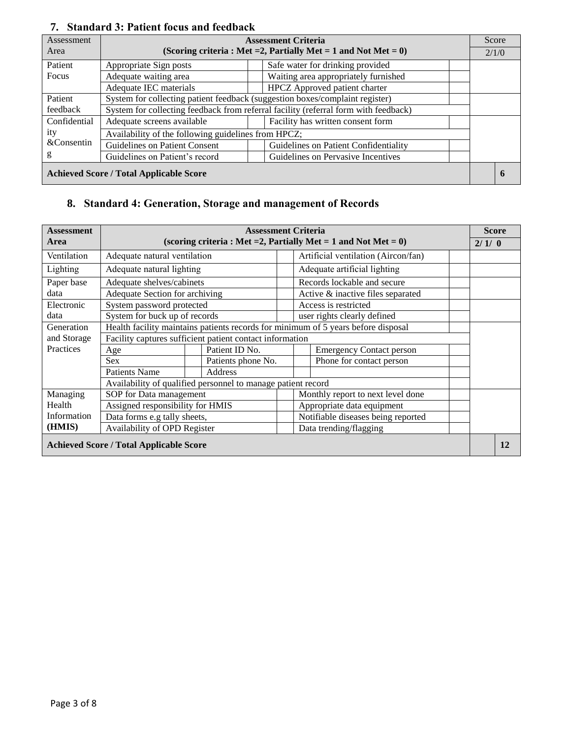| Assessment                                     |                                                     |                                                                              | <b>Assessment Criteria</b>                                                          |  | Score |  |  |  |  |
|------------------------------------------------|-----------------------------------------------------|------------------------------------------------------------------------------|-------------------------------------------------------------------------------------|--|-------|--|--|--|--|
| Area                                           |                                                     |                                                                              | (Scoring criteria: Met = 2, Partially Met = 1 and Not Met = $0$ )                   |  | 2/1/0 |  |  |  |  |
| Patient                                        | Appropriate Sign posts                              |                                                                              | Safe water for drinking provided                                                    |  |       |  |  |  |  |
| Focus                                          | Adequate waiting area                               |                                                                              | Waiting area appropriately furnished                                                |  |       |  |  |  |  |
|                                                | Adequate IEC materials                              | HPCZ Approved patient charter                                                |                                                                                     |  |       |  |  |  |  |
| Patient                                        |                                                     | System for collecting patient feedback (suggestion boxes/complaint register) |                                                                                     |  |       |  |  |  |  |
| feedback                                       |                                                     |                                                                              | System for collecting feedback from referral facility (referral form with feedback) |  |       |  |  |  |  |
| Confidential                                   | Adequate screens available                          |                                                                              | Facility has written consent form                                                   |  |       |  |  |  |  |
| ity                                            | Availability of the following guidelines from HPCZ; |                                                                              |                                                                                     |  |       |  |  |  |  |
| &Consentin                                     | Guidelines on Patient Consent                       |                                                                              | Guidelines on Patient Confidentiality                                               |  |       |  |  |  |  |
| g                                              | Guidelines on Patient's record                      |                                                                              | Guidelines on Pervasive Incentives                                                  |  |       |  |  |  |  |
| <b>Achieved Score / Total Applicable Score</b> |                                                     |                                                                              |                                                                                     |  |       |  |  |  |  |

### **7. Standard 3: Patient focus and feedback**

## **8. Standard 4: Generation, Storage and management of Records**

| <b>Assessment</b> |                                                              |                    | <b>Assessment Criteria</b>        |                                                                                   |  |       | <b>Score</b> |
|-------------------|--------------------------------------------------------------|--------------------|-----------------------------------|-----------------------------------------------------------------------------------|--|-------|--------------|
| Area              |                                                              |                    |                                   | (scoring criteria : Met = 2, Partially Met = 1 and Not Met = $0$ )                |  | 2/1/0 |              |
| Ventilation       | Adequate natural ventilation                                 |                    |                                   | Artificial ventilation (Aircon/fan)                                               |  |       |              |
| Lighting          | Adequate natural lighting                                    |                    | Adequate artificial lighting      |                                                                                   |  |       |              |
| Paper base        | Adequate shelves/cabinets                                    |                    | Records lockable and secure       |                                                                                   |  |       |              |
| data              | Adequate Section for archiving                               |                    | Active & inactive files separated |                                                                                   |  |       |              |
| Electronic        | System password protected                                    |                    | Access is restricted              |                                                                                   |  |       |              |
| data              | System for buck up of records                                |                    |                                   | user rights clearly defined                                                       |  |       |              |
| Generation        |                                                              |                    |                                   | Health facility maintains patients records for minimum of 5 years before disposal |  |       |              |
| and Storage       | Facility captures sufficient patient contact information     |                    |                                   |                                                                                   |  |       |              |
| Practices         | Age                                                          | Patient ID No.     |                                   | <b>Emergency Contact person</b>                                                   |  |       |              |
|                   | <b>Sex</b>                                                   | Patients phone No. |                                   | Phone for contact person                                                          |  |       |              |
|                   | <b>Patients Name</b>                                         | Address            |                                   |                                                                                   |  |       |              |
|                   | Availability of qualified personnel to manage patient record |                    |                                   |                                                                                   |  |       |              |
| Managing          | SOP for Data management                                      |                    |                                   | Monthly report to next level done                                                 |  |       |              |
| Health            | Assigned responsibility for HMIS                             |                    |                                   | Appropriate data equipment                                                        |  |       |              |
| Information       | Data forms e.g tally sheets,                                 |                    |                                   | Notifiable diseases being reported                                                |  |       |              |
| (HMIS)            | Availability of OPD Register                                 |                    | Data trending/flagging            |                                                                                   |  |       |              |
|                   | <b>Achieved Score / Total Applicable Score</b>               |                    |                                   |                                                                                   |  |       | 12           |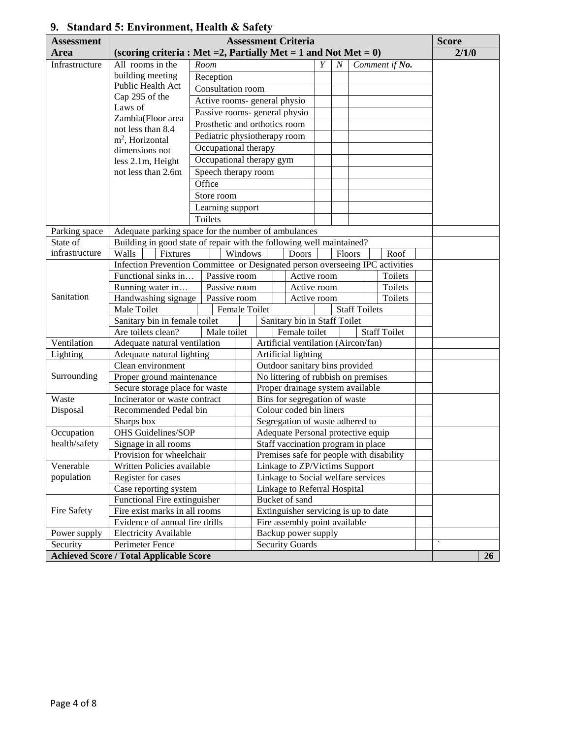| <b>Assessment</b>       |                                                                               | <b>Assessment Criteria</b>    |                                                |                                      |                                      |   |                |                      |                                          |  |              |    |  |
|-------------------------|-------------------------------------------------------------------------------|-------------------------------|------------------------------------------------|--------------------------------------|--------------------------------------|---|----------------|----------------------|------------------------------------------|--|--------------|----|--|
| Area                    | (scoring criteria : Met = 2, Partially Met = 1 and Not Met = $0$ )            |                               |                                                |                                      |                                      |   |                |                      |                                          |  | 2/1/0        |    |  |
| Infrastructure          | All rooms in the                                                              | Room                          |                                                |                                      |                                      | Y | N <sub>1</sub> |                      | Comment if No.                           |  |              |    |  |
|                         | building meeting                                                              | Reception                     |                                                |                                      |                                      |   |                |                      |                                          |  |              |    |  |
|                         | Public Health Act                                                             | Consultation room             |                                                |                                      |                                      |   |                |                      |                                          |  |              |    |  |
|                         | Cap 295 of the                                                                | Active rooms- general physio  |                                                |                                      |                                      |   |                |                      |                                          |  |              |    |  |
|                         | Laws of                                                                       | Passive rooms- general physio |                                                |                                      |                                      |   |                |                      |                                          |  |              |    |  |
|                         | Zambia(Floor area                                                             | Prosthetic and orthotics room |                                                |                                      |                                      |   |                |                      |                                          |  |              |    |  |
|                         | not less than 8.4                                                             | Pediatric physiotherapy room  |                                                |                                      |                                      |   |                |                      |                                          |  |              |    |  |
|                         | $m2$ , Horizontal<br>dimensions not                                           | Occupational therapy          |                                                |                                      |                                      |   |                |                      |                                          |  |              |    |  |
|                         | less 2.1m, Height                                                             | Occupational therapy gym      |                                                |                                      |                                      |   |                |                      |                                          |  |              |    |  |
|                         | not less than 2.6m                                                            | Speech therapy room           |                                                |                                      |                                      |   |                |                      |                                          |  |              |    |  |
|                         |                                                                               | Office                        |                                                |                                      |                                      |   |                |                      |                                          |  |              |    |  |
|                         |                                                                               | Store room                    |                                                |                                      |                                      |   |                |                      |                                          |  |              |    |  |
|                         |                                                                               | Learning support              |                                                |                                      |                                      |   |                |                      |                                          |  |              |    |  |
|                         |                                                                               | Toilets                       |                                                |                                      |                                      |   |                |                      |                                          |  |              |    |  |
| Parking space           | Adequate parking space for the number of ambulances                           |                               |                                                |                                      |                                      |   |                |                      |                                          |  |              |    |  |
| State of                | Building in good state of repair with the following well maintained?          |                               |                                                |                                      |                                      |   |                |                      |                                          |  |              |    |  |
| infrastructure          | Walls<br>Fixtures                                                             |                               | Windows                                        |                                      | <b>Doors</b>                         |   |                | Floors               | Roof                                     |  |              |    |  |
|                         | Infection Prevention Committee or Designated person overseeing IPC activities |                               |                                                |                                      |                                      |   |                |                      |                                          |  |              |    |  |
|                         | Functional sinks in                                                           | Passive room                  |                                                |                                      | Active room                          |   |                |                      | Toilets                                  |  |              |    |  |
|                         | Running water in                                                              | Passive room                  |                                                |                                      | Active room                          |   |                |                      | Toilets                                  |  |              |    |  |
| Sanitation              | Handwashing signage                                                           | Passive room                  |                                                |                                      | Active room                          |   |                |                      | Toilets                                  |  |              |    |  |
|                         | Male Toilet                                                                   |                               |                                                | Female Toilet                        |                                      |   |                | <b>Staff Toilets</b> |                                          |  |              |    |  |
|                         | Sanitary bin in female toilet                                                 |                               |                                                |                                      | Sanitary bin in Staff Toilet         |   |                |                      |                                          |  |              |    |  |
|                         | Are toilets clean?                                                            | Male toilet                   |                                                | Female toilet<br><b>Staff Toilet</b> |                                      |   |                |                      |                                          |  |              |    |  |
| Ventilation             | Adequate natural ventilation                                                  |                               |                                                |                                      | Artificial ventilation (Aircon/fan)  |   |                |                      |                                          |  |              |    |  |
| Lighting                | Adequate natural lighting                                                     |                               |                                                |                                      | Artificial lighting                  |   |                |                      |                                          |  |              |    |  |
|                         | Clean environment                                                             |                               |                                                |                                      | Outdoor sanitary bins provided       |   |                |                      |                                          |  |              |    |  |
| Surrounding             | Proper ground maintenance                                                     |                               |                                                |                                      | No littering of rubbish on premises  |   |                |                      |                                          |  |              |    |  |
|                         | Secure storage place for waste                                                |                               |                                                |                                      | Proper drainage system available     |   |                |                      |                                          |  |              |    |  |
| Waste                   | Incinerator or waste contract                                                 |                               |                                                |                                      | Bins for segregation of waste        |   |                |                      |                                          |  |              |    |  |
| Disposal                | Recommended Pedal bin                                                         |                               |                                                |                                      | Colour coded bin liners              |   |                |                      |                                          |  |              |    |  |
|                         | Sharps box                                                                    |                               |                                                |                                      | Segregation of waste adhered to      |   |                |                      |                                          |  |              |    |  |
| Occupation              | <b>OHS</b> Guidelines/SOP                                                     |                               |                                                |                                      | Adequate Personal protective equip   |   |                |                      |                                          |  |              |    |  |
| health/safety           | Signage in all rooms                                                          |                               |                                                |                                      | Staff vaccination program in place   |   |                |                      |                                          |  |              |    |  |
|                         | Provision for wheelchair                                                      |                               |                                                |                                      |                                      |   |                |                      | Premises safe for people with disability |  |              |    |  |
| Venerable<br>population | Written Policies available                                                    |                               |                                                |                                      | Linkage to ZP/Victims Support        |   |                |                      |                                          |  |              |    |  |
|                         | Register for cases<br>Case reporting system                                   |                               |                                                |                                      | Linkage to Social welfare services   |   |                |                      |                                          |  |              |    |  |
|                         | Functional Fire extinguisher                                                  |                               | Linkage to Referral Hospital<br>Bucket of sand |                                      |                                      |   |                |                      |                                          |  |              |    |  |
| Fire Safety             | Fire exist marks in all rooms                                                 |                               |                                                |                                      | Extinguisher servicing is up to date |   |                |                      |                                          |  |              |    |  |
|                         | Evidence of annual fire drills                                                |                               |                                                |                                      | Fire assembly point available        |   |                |                      |                                          |  |              |    |  |
| Power supply            | <b>Electricity Available</b>                                                  |                               |                                                |                                      | Backup power supply                  |   |                |                      |                                          |  |              |    |  |
| Security                | Perimeter Fence                                                               |                               |                                                |                                      | <b>Security Guards</b>               |   |                |                      |                                          |  | $\checkmark$ |    |  |
|                         | <b>Achieved Score / Total Applicable Score</b>                                |                               |                                                |                                      |                                      |   |                |                      |                                          |  |              | 26 |  |

# **9. Standard 5: Environment, Health & Safety**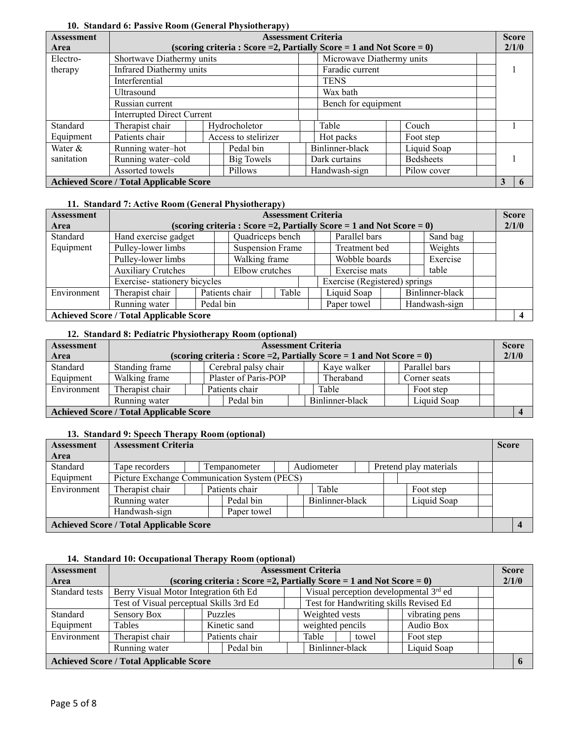| <b>Assessment</b> |                                                |  |  |                      | <b>Assessment Criteria</b>                                              |                  |  | <b>Score</b> |  |
|-------------------|------------------------------------------------|--|--|----------------------|-------------------------------------------------------------------------|------------------|--|--------------|--|
| Area              |                                                |  |  |                      | (scoring criteria: Score = 2, Partially Score = 1 and Not Score = $0$ ) |                  |  | 2/1/0        |  |
| Electro-          | Shortwave Diathermy units                      |  |  |                      | Microwave Diathermy units                                               |                  |  |              |  |
| therapy           | <b>Infrared Diathermy units</b>                |  |  |                      | Faradic current                                                         |                  |  |              |  |
|                   | Interferential                                 |  |  |                      | <b>TENS</b>                                                             |                  |  |              |  |
|                   | Ultrasound                                     |  |  |                      | Wax bath                                                                |                  |  |              |  |
|                   | Russian current                                |  |  |                      | Bench for equipment                                                     |                  |  |              |  |
|                   | <b>Interrupted Direct Current</b>              |  |  |                      |                                                                         |                  |  |              |  |
| Standard          | Therapist chair                                |  |  | Hydrocholetor        | Table                                                                   | Couch            |  |              |  |
| Equipment         | Patients chair                                 |  |  | Access to stelirizer | Hot packs                                                               | Foot step        |  |              |  |
| Water &           | Running water-hot                              |  |  | Pedal bin            | Binlinner-black                                                         | Liquid Soap      |  |              |  |
| sanitation        | Running water-cold<br>Big Towels               |  |  |                      | Dark curtains                                                           | <b>Bedsheets</b> |  |              |  |
|                   | Assorted towels                                |  |  | Pillows              | Handwash-sign                                                           | Pilow cover      |  |              |  |
|                   | <b>Achieved Score / Total Applicable Score</b> |  |  |                      |                                                                         |                  |  | 3            |  |

#### **10. Standard 6: Passive Room (General Physiotherapy)**

#### **11. Standard 7: Active Room (General Physiotherapy)**

| <b>Assessment</b> |                                                |                |                         | <b>Assessment Criteria</b> |  |                                                                         |  |               |                 | <b>Score</b> |
|-------------------|------------------------------------------------|----------------|-------------------------|----------------------------|--|-------------------------------------------------------------------------|--|---------------|-----------------|--------------|
| Area              |                                                |                |                         |                            |  | (scoring criteria: Score = 2, Partially Score = 1 and Not Score = $0$ ) |  |               |                 | 2/1/0        |
| Standard          | Hand exercise gadget                           |                |                         | Quadriceps bench           |  | Parallel bars                                                           |  | Sand bag      |                 |              |
| Equipment         | Pulley-lower limbs                             |                | <b>Suspension Frame</b> |                            |  | Treatment bed                                                           |  |               | Weights         |              |
|                   | Pulley-lower limbs                             |                | Walking frame           |                            |  | Wobble boards                                                           |  | Exercise      |                 |              |
|                   | <b>Auxiliary Crutches</b>                      |                | Elbow crutches          |                            |  | Exercise mats                                                           |  |               | table           |              |
|                   | Exercise-stationery bicycles                   |                |                         |                            |  | Exercise (Registered) springs                                           |  |               |                 |              |
| Environment       | Therapist chair                                | Patients chair |                         | Table                      |  | Liquid Soap                                                             |  |               | Binlinner-black |              |
|                   | Running water                                  | Pedal bin      |                         |                            |  | Paper towel                                                             |  | Handwash-sign |                 |              |
|                   | <b>Achieved Score / Total Applicable Score</b> |                |                         |                            |  |                                                                         |  |               |                 |              |

#### **12. Standard 8: Pediatric Physiotherapy Room (optional)**

| <b>Assessment</b>                              |                 |                                             | <b>Assessment Criteria</b>                                              |  |             |  |               |  | <b>Score</b> |  |  |
|------------------------------------------------|-----------------|---------------------------------------------|-------------------------------------------------------------------------|--|-------------|--|---------------|--|--------------|--|--|
| Area                                           |                 |                                             | (scoring criteria: Score = 2, Partially Score = 1 and Not Score = $0$ ) |  |             |  |               |  | 2/1/0        |  |  |
| Standard                                       | Standing frame  |                                             | Cerebral palsy chair                                                    |  | Kave walker |  | Parallel bars |  |              |  |  |
| Equipment                                      | Walking frame   |                                             | Plaster of Paris-POP                                                    |  | Theraband   |  | Corner seats  |  |              |  |  |
| Environment                                    | Therapist chair |                                             | Patients chair                                                          |  | Table       |  | Foot step     |  |              |  |  |
|                                                | Running water   | Binlinner-black<br>Pedal bin<br>Liquid Soap |                                                                         |  |             |  |               |  |              |  |  |
| <b>Achieved Score / Total Applicable Score</b> |                 |                                             |                                                                         |  |             |  |               |  |              |  |  |

#### **13. Standard 9: Speech Therapy Room (optional)**

| <b>Assessment</b>                              | <b>Assessment Criteria</b>                   |  |                |  |                 |  |  |                        |  | <b>Score</b> |  |
|------------------------------------------------|----------------------------------------------|--|----------------|--|-----------------|--|--|------------------------|--|--------------|--|
| Area                                           |                                              |  |                |  |                 |  |  |                        |  |              |  |
| Standard                                       | Tape recorders                               |  | Tempanometer   |  | Audiometer      |  |  | Pretend play materials |  |              |  |
| Equipment                                      | Picture Exchange Communication System (PECS) |  |                |  |                 |  |  |                        |  |              |  |
| Environment                                    | Therapist chair                              |  | Patients chair |  | Table           |  |  | Foot step              |  |              |  |
|                                                | Running water                                |  | Pedal bin      |  | Binlinner-black |  |  | Liquid Soap            |  |              |  |
|                                                | Handwash-sign                                |  | Paper towel    |  |                 |  |  |                        |  |              |  |
| <b>Achieved Score / Total Applicable Score</b> |                                              |  |                |  |                 |  |  |                        |  |              |  |

#### **14. Standard 10: Occupational Therapy Room (optional)**

| <b>Assessment</b>                              |                                         |                                       |                |                                                                         |                                | <b>Assessment Criteria</b>                         |  |       |           |                |  | <b>Score</b> |  |
|------------------------------------------------|-----------------------------------------|---------------------------------------|----------------|-------------------------------------------------------------------------|--------------------------------|----------------------------------------------------|--|-------|-----------|----------------|--|--------------|--|
| Area                                           |                                         |                                       |                | (scoring criteria: Score = 2, Partially Score = 1 and Not Score = $0$ ) |                                |                                                    |  |       |           |                |  | 2/1/0        |  |
| Standard tests                                 |                                         | Berry Visual Motor Integration 6th Ed |                |                                                                         |                                | Visual perception developmental 3 <sup>rd</sup> ed |  |       |           |                |  |              |  |
|                                                | Test of Visual perceptual Skills 3rd Ed |                                       |                |                                                                         |                                | Test for Handwriting skills Revised Ed             |  |       |           |                |  |              |  |
| Standard                                       | Sensory Box                             |                                       | <b>Puzzles</b> |                                                                         |                                | Weighted vests                                     |  |       |           | vibrating pens |  |              |  |
| Equipment                                      | Tables                                  |                                       |                | Kinetic sand                                                            |                                | weighted pencils                                   |  |       | Audio Box |                |  |              |  |
| Environment                                    | Therapist chair                         |                                       |                | Patients chair                                                          |                                | Table                                              |  | towel |           | Foot step      |  |              |  |
|                                                | Pedal bin<br>Running water              |                                       |                |                                                                         | Binlinner-black<br>Liquid Soap |                                                    |  |       |           |                |  |              |  |
| <b>Achieved Score / Total Applicable Score</b> |                                         |                                       |                |                                                                         |                                |                                                    |  |       |           |                |  |              |  |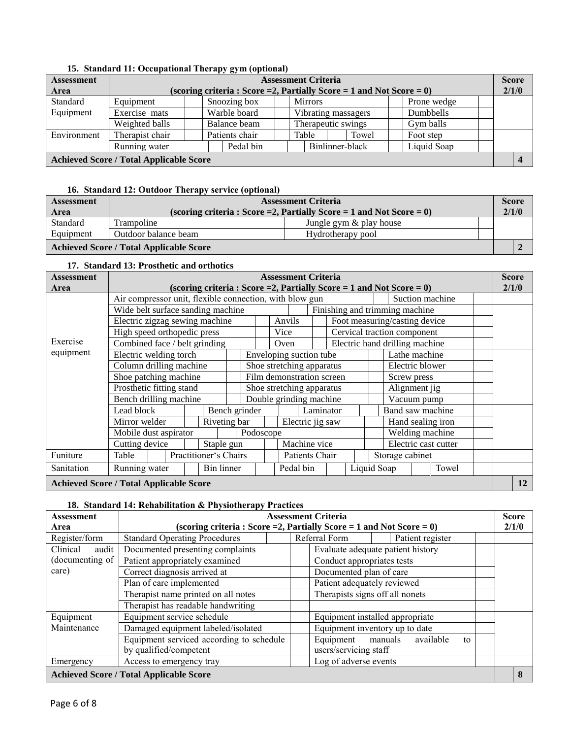| 19. Standard II. Occupational Therapy gym (optional) |                 |  |  |                |  |                    |                            |                                                                         |  |             |  |              |  |
|------------------------------------------------------|-----------------|--|--|----------------|--|--------------------|----------------------------|-------------------------------------------------------------------------|--|-------------|--|--------------|--|
| <b>Assessment</b>                                    |                 |  |  |                |  |                    | <b>Assessment Criteria</b> |                                                                         |  |             |  | <b>Score</b> |  |
| Area                                                 |                 |  |  |                |  |                    |                            | (scoring criteria: Score = 2, Partially Score = 1 and Not Score = $0$ ) |  |             |  | 2/1/0        |  |
| Standard                                             | Equipment       |  |  | Snoozing box   |  |                    | <b>Mirrors</b>             |                                                                         |  | Prone wedge |  |              |  |
| Equipment                                            | Exercise mats   |  |  | Warble board   |  |                    |                            | Vibrating massagers                                                     |  | Dumbbells   |  |              |  |
|                                                      | Weighted balls  |  |  | Balance beam   |  | Therapeutic swings |                            |                                                                         |  | Gym balls   |  |              |  |
| Environment                                          | Therapist chair |  |  | Patients chair |  |                    | Table                      | Towel                                                                   |  | Foot step   |  |              |  |
|                                                      | Running water   |  |  | Pedal bin      |  |                    |                            | Binlinner-black                                                         |  | Liquid Soap |  |              |  |
| <b>Achieved Score / Total Applicable Score</b>       |                 |  |  |                |  |                    |                            |                                                                         |  |             |  |              |  |

#### **15. Standard 11: Occupational Therapy gym (optional)**

#### **16. Standard 12: Outdoor Therapy service (optional)**

| <b>Assessment</b> | <b>Assessment Criteria</b>                                                        |                            |  |  |  |  |
|-------------------|-----------------------------------------------------------------------------------|----------------------------|--|--|--|--|
| Area              | 2/1/0<br>(scoring criteria : Score = 2, Partially Score = 1 and Not Score = $0$ ) |                            |  |  |  |  |
| Standard          | Trampoline                                                                        | Jungle gym $\&$ play house |  |  |  |  |
| Equipment         | Outdoor balance beam                                                              | Hydrotherapy pool          |  |  |  |  |
|                   | <b>Achieved Score / Total Applicable Score</b>                                    |                            |  |  |  |  |

#### **17. Standard 13: Prosthetic and orthotics**

| <b>Assessment</b>                              | <b>Assessment Criteria</b>                                                                                 |                                                                         |  |              |                                              |                           |        |                         |  |                               | <b>Score</b>  |                                |                                |  |                      |  |    |
|------------------------------------------------|------------------------------------------------------------------------------------------------------------|-------------------------------------------------------------------------|--|--------------|----------------------------------------------|---------------------------|--------|-------------------------|--|-------------------------------|---------------|--------------------------------|--------------------------------|--|----------------------|--|----|
| Area                                           |                                                                                                            | (scoring criteria: Score = 2, Partially Score = 1 and Not Score = $0$ ) |  |              |                                              |                           |        | 2/1/0                   |  |                               |               |                                |                                |  |                      |  |    |
|                                                | Air compressor unit, flexible connection, with blow gun                                                    |                                                                         |  |              |                                              |                           |        |                         |  |                               |               |                                |                                |  | Suction machine      |  |    |
|                                                | Wide belt surface sanding machine                                                                          |                                                                         |  |              |                                              |                           |        |                         |  |                               |               |                                | Finishing and trimming machine |  |                      |  |    |
|                                                | Electric zigzag sewing machine<br>High speed orthopedic press<br>Exercise<br>Combined face / belt grinding |                                                                         |  |              |                                              |                           | Anvils |                         |  |                               |               | Foot measuring/casting device  |                                |  |                      |  |    |
|                                                |                                                                                                            |                                                                         |  |              |                                              |                           | Vice   |                         |  |                               |               | Cervical traction component    |                                |  |                      |  |    |
|                                                |                                                                                                            |                                                                         |  |              |                                              |                           | Oven   |                         |  |                               |               | Electric hand drilling machine |                                |  |                      |  |    |
| equipment                                      |                                                                                                            | Electric welding torch                                                  |  |              |                                              |                           |        | Enveloping suction tube |  |                               |               |                                | Lathe machine                  |  |                      |  |    |
|                                                | Column drilling machine                                                                                    |                                                                         |  |              | Electric blower<br>Shoe stretching apparatus |                           |        |                         |  |                               |               |                                |                                |  |                      |  |    |
|                                                | Shoe patching machine                                                                                      |                                                                         |  |              |                                              | Film demonstration screen |        |                         |  |                               | Screw press   |                                |                                |  |                      |  |    |
|                                                | Prosthetic fitting stand                                                                                   |                                                                         |  |              |                                              | Shoe stretching apparatus |        |                         |  |                               | Alignment jig |                                |                                |  |                      |  |    |
|                                                | Bench drilling machine                                                                                     |                                                                         |  |              |                                              | Double grinding machine   |        |                         |  |                               | Vacuum pump   |                                |                                |  |                      |  |    |
|                                                | Lead block                                                                                                 |                                                                         |  |              | Bench grinder                                |                           |        |                         |  | Band saw machine<br>Laminator |               |                                |                                |  |                      |  |    |
|                                                | Mirror welder                                                                                              |                                                                         |  | Riveting bar |                                              |                           |        | Electric jig saw        |  |                               |               |                                |                                |  | Hand sealing iron    |  |    |
|                                                | Mobile dust aspirator                                                                                      |                                                                         |  |              |                                              | Podoscope                 |        |                         |  |                               |               |                                |                                |  | Welding machine      |  |    |
|                                                | Cutting device                                                                                             |                                                                         |  | Staple gun   |                                              |                           |        | Machine vice            |  |                               |               |                                |                                |  | Electric cast cutter |  |    |
| Funiture                                       | Table                                                                                                      |                                                                         |  |              | Practitioner's Chairs                        |                           |        | Patients Chair          |  |                               |               |                                | Storage cabinet                |  |                      |  |    |
| Sanitation                                     | Running water<br>Bin linner<br>Pedal bin                                                                   |                                                                         |  |              |                                              |                           |        | Liquid Soap             |  | Towel                         |               |                                |                                |  |                      |  |    |
| <b>Achieved Score / Total Applicable Score</b> |                                                                                                            |                                                                         |  |              |                                              |                           |        |                         |  |                               |               |                                |                                |  |                      |  | 12 |

#### **18. Standard 14: Rehabilitation & Physiotherapy Practices**

| <b>Assessment</b> | <b>Assessment Criteria</b><br><b>Score</b>     |                                                                         |       |  |  |  |  |  |
|-------------------|------------------------------------------------|-------------------------------------------------------------------------|-------|--|--|--|--|--|
| Area              |                                                | (scoring criteria: Score = 2, Partially Score = 1 and Not Score = $0$ ) | 2/1/0 |  |  |  |  |  |
| Register/form     | <b>Standard Operating Procedures</b>           | Referral Form<br>Patient register                                       |       |  |  |  |  |  |
| Clinical<br>audit | Documented presenting complaints               | Evaluate adequate patient history                                       |       |  |  |  |  |  |
| (documenting of   | Patient appropriately examined                 | Conduct appropriates tests                                              |       |  |  |  |  |  |
| care)             | Correct diagnosis arrived at                   | Documented plan of care                                                 |       |  |  |  |  |  |
|                   | Plan of care implemented                       | Patient adequately reviewed                                             |       |  |  |  |  |  |
|                   | Therapist name printed on all notes            | Therapists signs off all nonets                                         |       |  |  |  |  |  |
|                   | Therapist has readable handwriting             |                                                                         |       |  |  |  |  |  |
| Equipment         | Equipment service schedule                     | Equipment installed appropriate                                         |       |  |  |  |  |  |
| Maintenance       | Damaged equipment labeled/isolated             | Equipment inventory up to date                                          |       |  |  |  |  |  |
|                   | Equipment serviced according to schedule       | Equipment<br>available<br>manuals<br>to                                 |       |  |  |  |  |  |
|                   | by qualified/competent                         | users/servicing staff                                                   |       |  |  |  |  |  |
| Emergency         | Access to emergency tray                       | Log of adverse events                                                   |       |  |  |  |  |  |
|                   | <b>Achieved Score / Total Applicable Score</b> |                                                                         | 8     |  |  |  |  |  |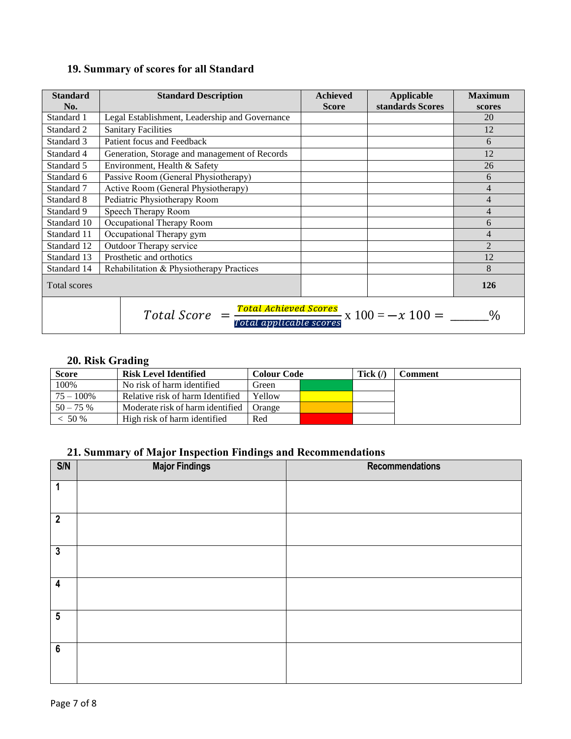|  | 19. Summary of scores for all Standard |  |  |  |
|--|----------------------------------------|--|--|--|
|--|----------------------------------------|--|--|--|

| <b>Standard</b><br>No. | <b>Standard Description</b>                                                                                                 | <b>Achieved</b><br><b>Score</b> | Applicable<br>standards Scores | <b>Maximum</b><br>scores |  |  |  |  |
|------------------------|-----------------------------------------------------------------------------------------------------------------------------|---------------------------------|--------------------------------|--------------------------|--|--|--|--|
| Standard 1             | Legal Establishment, Leadership and Governance                                                                              |                                 |                                | 20                       |  |  |  |  |
| Standard 2             | <b>Sanitary Facilities</b>                                                                                                  |                                 |                                | 12                       |  |  |  |  |
| Standard 3             | Patient focus and Feedback                                                                                                  |                                 |                                | 6                        |  |  |  |  |
| Standard 4             | Generation, Storage and management of Records                                                                               |                                 | 12                             |                          |  |  |  |  |
| Standard 5             | Environment, Health & Safety                                                                                                |                                 |                                |                          |  |  |  |  |
| Standard 6             |                                                                                                                             | 6                               |                                |                          |  |  |  |  |
| Standard 7             | Active Room (General Physiotherapy)                                                                                         |                                 |                                | 4                        |  |  |  |  |
| Standard 8             | Pediatric Physiotherapy Room                                                                                                |                                 | 4                              |                          |  |  |  |  |
| Standard 9             | Speech Therapy Room                                                                                                         |                                 |                                | 4                        |  |  |  |  |
| Standard 10            | Occupational Therapy Room                                                                                                   |                                 |                                | 6                        |  |  |  |  |
| Standard 11            | Occupational Therapy gym                                                                                                    |                                 |                                | 4                        |  |  |  |  |
| Standard 12            | Outdoor Therapy service                                                                                                     |                                 |                                | $\overline{2}$           |  |  |  |  |
| Standard 13            | Prosthetic and orthotics                                                                                                    |                                 |                                | 12                       |  |  |  |  |
| Standard 14            | Rehabilitation & Physiotherapy Practices                                                                                    |                                 |                                | 8                        |  |  |  |  |
| Total scores           |                                                                                                                             |                                 |                                | 126                      |  |  |  |  |
|                        | $Total Score = \frac{Total achieved Score}{\frac{1}{100}} \times 100 = -x100 =$<br>$\frac{0}{0}$<br>Total applicable scores |                                 |                                |                          |  |  |  |  |

## **20. Risk Grading**

| <b>Score</b> | <b>Risk Level Identified</b>     | <b>Colour Code</b> | Tick $\langle \rangle$ | Comment |
|--------------|----------------------------------|--------------------|------------------------|---------|
| 100%         | No risk of harm identified       | Green              |                        |         |
| $75 - 100\%$ | Relative risk of harm Identified | Yellow             |                        |         |
| $50 - 75\%$  | Moderate risk of harm identified | Orange             |                        |         |
| $< 50 \%$    | High risk of harm identified     | Red                |                        |         |

## **21. Summary of Major Inspection Findings and Recommendations**

| S/N                     | <b>Major Findings</b><br>- | <b>Recommendations</b> |
|-------------------------|----------------------------|------------------------|
| 1                       |                            |                        |
| $\mathbf{2}$            |                            |                        |
| $\mathbf{3}$            |                            |                        |
| $\overline{\mathbf{4}}$ |                            |                        |
| $\overline{5}$          |                            |                        |
| $\boldsymbol{6}$        |                            |                        |